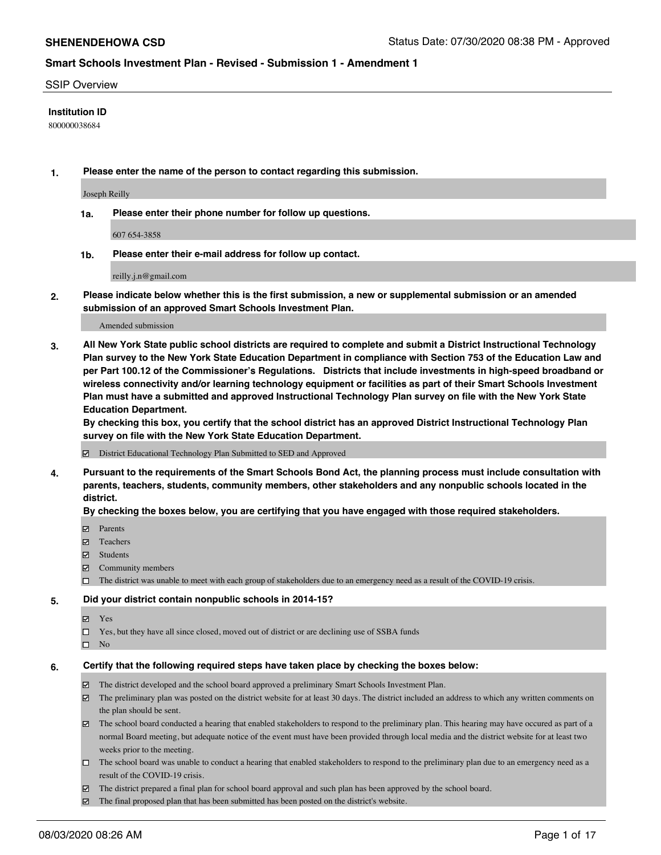#### SSIP Overview

### **Institution ID**

800000038684

**1. Please enter the name of the person to contact regarding this submission.**

Joseph Reilly

**1a. Please enter their phone number for follow up questions.**

607 654-3858

**1b. Please enter their e-mail address for follow up contact.**

reilly.j.n@gmail.com

**2. Please indicate below whether this is the first submission, a new or supplemental submission or an amended submission of an approved Smart Schools Investment Plan.**

#### Amended submission

**3. All New York State public school districts are required to complete and submit a District Instructional Technology Plan survey to the New York State Education Department in compliance with Section 753 of the Education Law and per Part 100.12 of the Commissioner's Regulations. Districts that include investments in high-speed broadband or wireless connectivity and/or learning technology equipment or facilities as part of their Smart Schools Investment Plan must have a submitted and approved Instructional Technology Plan survey on file with the New York State Education Department.** 

**By checking this box, you certify that the school district has an approved District Instructional Technology Plan survey on file with the New York State Education Department.**

District Educational Technology Plan Submitted to SED and Approved

**4. Pursuant to the requirements of the Smart Schools Bond Act, the planning process must include consultation with parents, teachers, students, community members, other stakeholders and any nonpublic schools located in the district.** 

#### **By checking the boxes below, you are certifying that you have engaged with those required stakeholders.**

- **Ø** Parents
- Teachers
- Students
- $\boxtimes$  Community members
- The district was unable to meet with each group of stakeholders due to an emergency need as a result of the COVID-19 crisis.

### **5. Did your district contain nonpublic schools in 2014-15?**

- **冈** Yes
- □ Yes, but they have all since closed, moved out of district or are declining use of SSBA funds
- $\square$  No

#### **6. Certify that the following required steps have taken place by checking the boxes below:**

- The district developed and the school board approved a preliminary Smart Schools Investment Plan.
- $\boxtimes$  The preliminary plan was posted on the district website for at least 30 days. The district included an address to which any written comments on the plan should be sent.
- $\boxtimes$  The school board conducted a hearing that enabled stakeholders to respond to the preliminary plan. This hearing may have occured as part of a normal Board meeting, but adequate notice of the event must have been provided through local media and the district website for at least two weeks prior to the meeting.
- The school board was unable to conduct a hearing that enabled stakeholders to respond to the preliminary plan due to an emergency need as a result of the COVID-19 crisis.
- The district prepared a final plan for school board approval and such plan has been approved by the school board.
- $\boxtimes$  The final proposed plan that has been submitted has been posted on the district's website.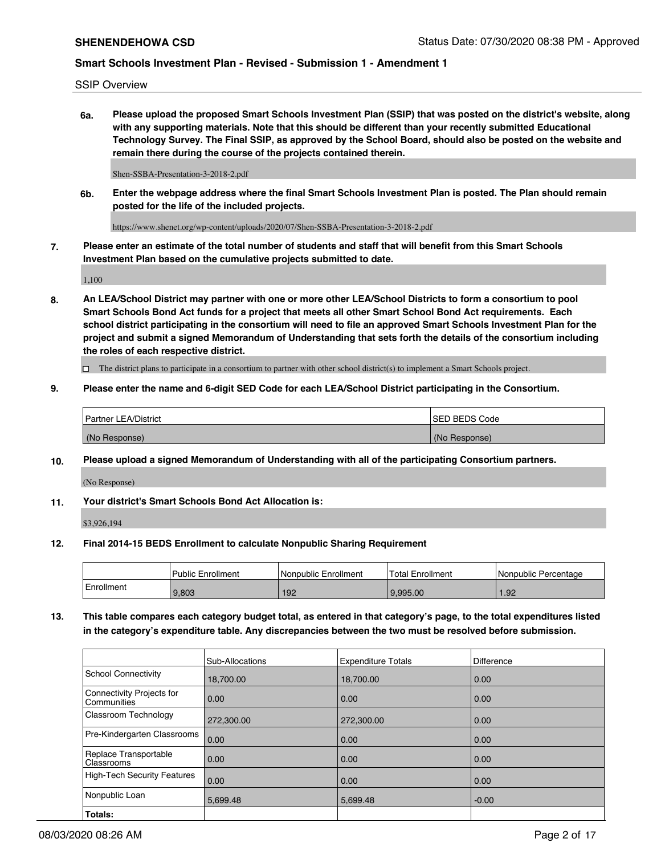SSIP Overview

**6a. Please upload the proposed Smart Schools Investment Plan (SSIP) that was posted on the district's website, along with any supporting materials. Note that this should be different than your recently submitted Educational Technology Survey. The Final SSIP, as approved by the School Board, should also be posted on the website and remain there during the course of the projects contained therein.**

Shen-SSBA-Presentation-3-2018-2.pdf

**6b. Enter the webpage address where the final Smart Schools Investment Plan is posted. The Plan should remain posted for the life of the included projects.**

https://www.shenet.org/wp-content/uploads/2020/07/Shen-SSBA-Presentation-3-2018-2.pdf

**7. Please enter an estimate of the total number of students and staff that will benefit from this Smart Schools Investment Plan based on the cumulative projects submitted to date.**

1,100

**8. An LEA/School District may partner with one or more other LEA/School Districts to form a consortium to pool Smart Schools Bond Act funds for a project that meets all other Smart School Bond Act requirements. Each school district participating in the consortium will need to file an approved Smart Schools Investment Plan for the project and submit a signed Memorandum of Understanding that sets forth the details of the consortium including the roles of each respective district.**

 $\Box$  The district plans to participate in a consortium to partner with other school district(s) to implement a Smart Schools project.

## **9. Please enter the name and 6-digit SED Code for each LEA/School District participating in the Consortium.**

| Partner LEA/District | <b>ISED BEDS Code</b> |
|----------------------|-----------------------|
| (No Response)        | (No Response)         |

## **10. Please upload a signed Memorandum of Understanding with all of the participating Consortium partners.**

(No Response)

## **11. Your district's Smart Schools Bond Act Allocation is:**

\$3,926,194

## **12. Final 2014-15 BEDS Enrollment to calculate Nonpublic Sharing Requirement**

|            | Public Enrollment | Nonpublic Enrollment | Total Enrollment | I Nonpublic Percentage |
|------------|-------------------|----------------------|------------------|------------------------|
| Enrollment | 9.803             | 192                  | 9.995.00         | .92                    |

**13. This table compares each category budget total, as entered in that category's page, to the total expenditures listed in the category's expenditure table. Any discrepancies between the two must be resolved before submission.**

|                                          | Sub-Allocations | <b>Expenditure Totals</b> | <b>Difference</b> |
|------------------------------------------|-----------------|---------------------------|-------------------|
| <b>School Connectivity</b>               | 18,700.00       | 18.700.00                 | 0.00              |
| Connectivity Projects for<br>Communities | 0.00            | 0.00                      | 0.00              |
| Classroom Technology                     | 272,300.00      | 272,300.00                | 0.00              |
| Pre-Kindergarten Classrooms              | 0.00            | 0.00                      | 0.00              |
| Replace Transportable<br>Classrooms      | 0.00            | 0.00                      | 0.00              |
| <b>High-Tech Security Features</b>       | 0.00            | 0.00                      | 0.00              |
| Nonpublic Loan                           | 5,699.48        | 5.699.48                  | $-0.00$           |
| Totals:                                  |                 |                           |                   |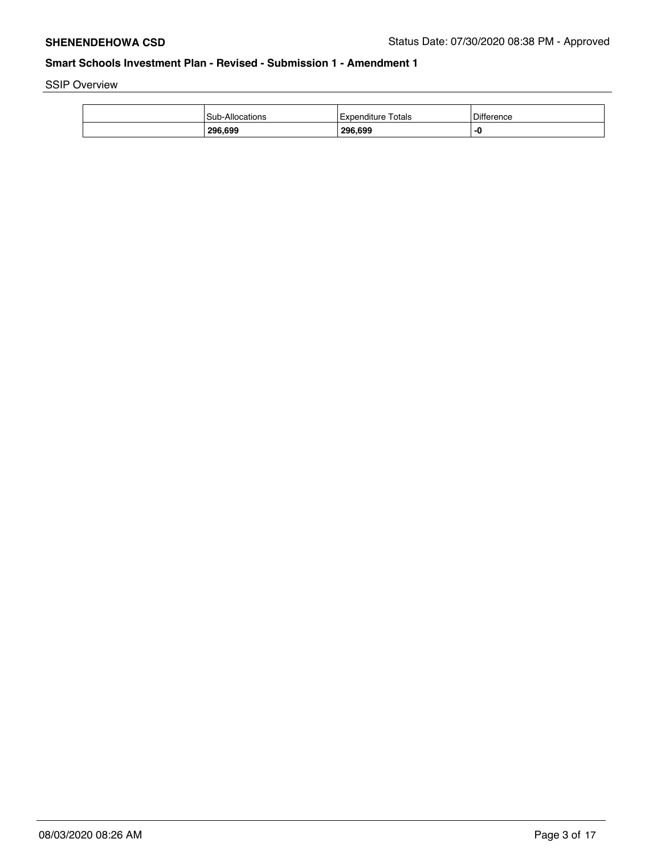SSIP Overview

| <b>Sub-Allocations</b> | Totals<br>i Expenditure | <b>Difference</b> |
|------------------------|-------------------------|-------------------|
| 296,699                | 296.699                 | -0                |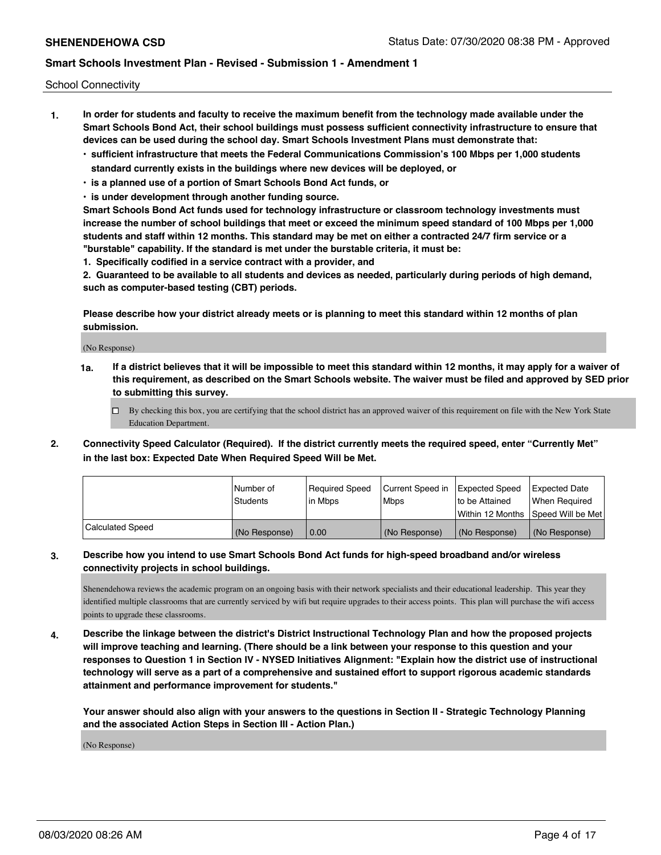School Connectivity

- **1. In order for students and faculty to receive the maximum benefit from the technology made available under the Smart Schools Bond Act, their school buildings must possess sufficient connectivity infrastructure to ensure that devices can be used during the school day. Smart Schools Investment Plans must demonstrate that:**
	- **• sufficient infrastructure that meets the Federal Communications Commission's 100 Mbps per 1,000 students standard currently exists in the buildings where new devices will be deployed, or**
	- **• is a planned use of a portion of Smart Schools Bond Act funds, or**
	- **• is under development through another funding source.**

**Smart Schools Bond Act funds used for technology infrastructure or classroom technology investments must increase the number of school buildings that meet or exceed the minimum speed standard of 100 Mbps per 1,000 students and staff within 12 months. This standard may be met on either a contracted 24/7 firm service or a "burstable" capability. If the standard is met under the burstable criteria, it must be:**

**1. Specifically codified in a service contract with a provider, and**

**2. Guaranteed to be available to all students and devices as needed, particularly during periods of high demand, such as computer-based testing (CBT) periods.**

**Please describe how your district already meets or is planning to meet this standard within 12 months of plan submission.**

(No Response)

**1a. If a district believes that it will be impossible to meet this standard within 12 months, it may apply for a waiver of this requirement, as described on the Smart Schools website. The waiver must be filed and approved by SED prior to submitting this survey.**

 $\Box$  By checking this box, you are certifying that the school district has an approved waiver of this requirement on file with the New York State Education Department.

**2. Connectivity Speed Calculator (Required). If the district currently meets the required speed, enter "Currently Met" in the last box: Expected Date When Required Speed Will be Met.**

|                  | l Number of   | Required Speed | Current Speed in | Expected Speed  | <b>Expected Date</b>                    |
|------------------|---------------|----------------|------------------|-----------------|-----------------------------------------|
|                  | Students      | l in Mbps      | Mbps             | Ito be Attained | When Required                           |
|                  |               |                |                  |                 | l Within 12 Months ISpeed Will be Met l |
| Calculated Speed | (No Response) | 0.00           | (No Response)    | (No Response)   | l (No Response)                         |

## **3. Describe how you intend to use Smart Schools Bond Act funds for high-speed broadband and/or wireless connectivity projects in school buildings.**

Shenendehowa reviews the academic program on an ongoing basis with their network specialists and their educational leadership. This year they identified multiple classrooms that are currently serviced by wifi but require upgrades to their access points. This plan will purchase the wifi access points to upgrade these classrooms.

**4. Describe the linkage between the district's District Instructional Technology Plan and how the proposed projects will improve teaching and learning. (There should be a link between your response to this question and your responses to Question 1 in Section IV - NYSED Initiatives Alignment: "Explain how the district use of instructional technology will serve as a part of a comprehensive and sustained effort to support rigorous academic standards attainment and performance improvement for students."** 

**Your answer should also align with your answers to the questions in Section II - Strategic Technology Planning and the associated Action Steps in Section III - Action Plan.)**

(No Response)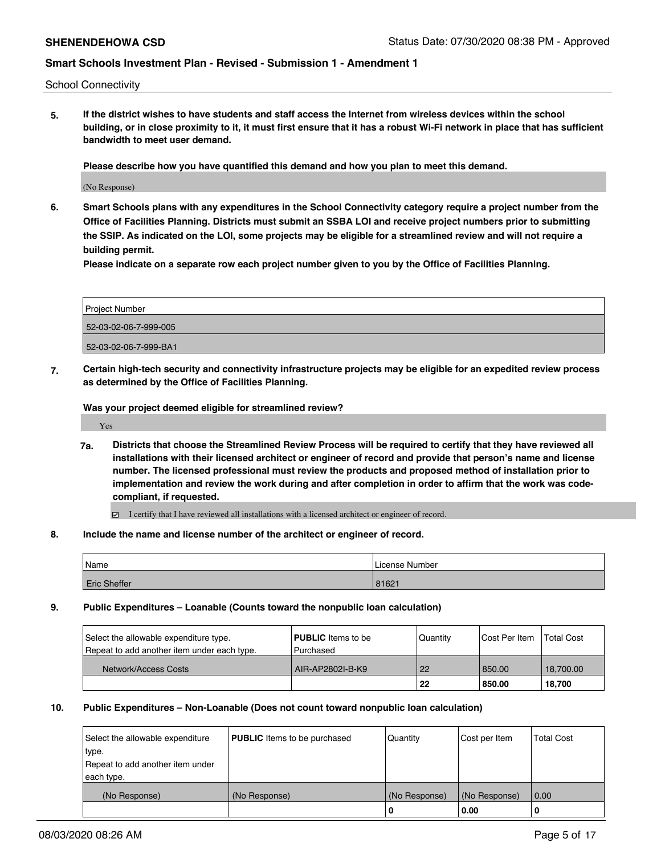School Connectivity

**5. If the district wishes to have students and staff access the Internet from wireless devices within the school building, or in close proximity to it, it must first ensure that it has a robust Wi-Fi network in place that has sufficient bandwidth to meet user demand.**

**Please describe how you have quantified this demand and how you plan to meet this demand.**

(No Response)

**6. Smart Schools plans with any expenditures in the School Connectivity category require a project number from the Office of Facilities Planning. Districts must submit an SSBA LOI and receive project numbers prior to submitting the SSIP. As indicated on the LOI, some projects may be eligible for a streamlined review and will not require a building permit.**

**Please indicate on a separate row each project number given to you by the Office of Facilities Planning.**

| Project Number        |  |
|-----------------------|--|
| 52-03-02-06-7-999-005 |  |
| 52-03-02-06-7-999-BA1 |  |

**7. Certain high-tech security and connectivity infrastructure projects may be eligible for an expedited review process as determined by the Office of Facilities Planning.**

**Was your project deemed eligible for streamlined review?**

Yes

**7a. Districts that choose the Streamlined Review Process will be required to certify that they have reviewed all installations with their licensed architect or engineer of record and provide that person's name and license number. The licensed professional must review the products and proposed method of installation prior to implementation and review the work during and after completion in order to affirm that the work was codecompliant, if requested.**

I certify that I have reviewed all installations with a licensed architect or engineer of record.

### **8. Include the name and license number of the architect or engineer of record.**

| Name                | License Number |
|---------------------|----------------|
| <b>Eric Sheffer</b> | 81621          |

#### **9. Public Expenditures – Loanable (Counts toward the nonpublic loan calculation)**

| Select the allowable expenditure type.<br>Repeat to add another item under each type. | <b>PUBLIC</b> Items to be<br>l Purchased | Quantity | <b>Cost Per Item</b> | <b>Total Cost</b> |
|---------------------------------------------------------------------------------------|------------------------------------------|----------|----------------------|-------------------|
| Network/Access Costs                                                                  | AIR-AP2802I-B-K9                         | l 22     | 850.00               | 18.700.00         |
|                                                                                       |                                          | 22       | 850.00               | 18.700            |

### **10. Public Expenditures – Non-Loanable (Does not count toward nonpublic loan calculation)**

| Select the allowable expenditure | <b>PUBLIC</b> Items to be purchased | Quantity      | Cost per Item | <b>Total Cost</b> |
|----------------------------------|-------------------------------------|---------------|---------------|-------------------|
| type.                            |                                     |               |               |                   |
| Repeat to add another item under |                                     |               |               |                   |
| each type.                       |                                     |               |               |                   |
| (No Response)                    | (No Response)                       | (No Response) | (No Response) | 0.00              |
|                                  |                                     | 0             | 0.00          |                   |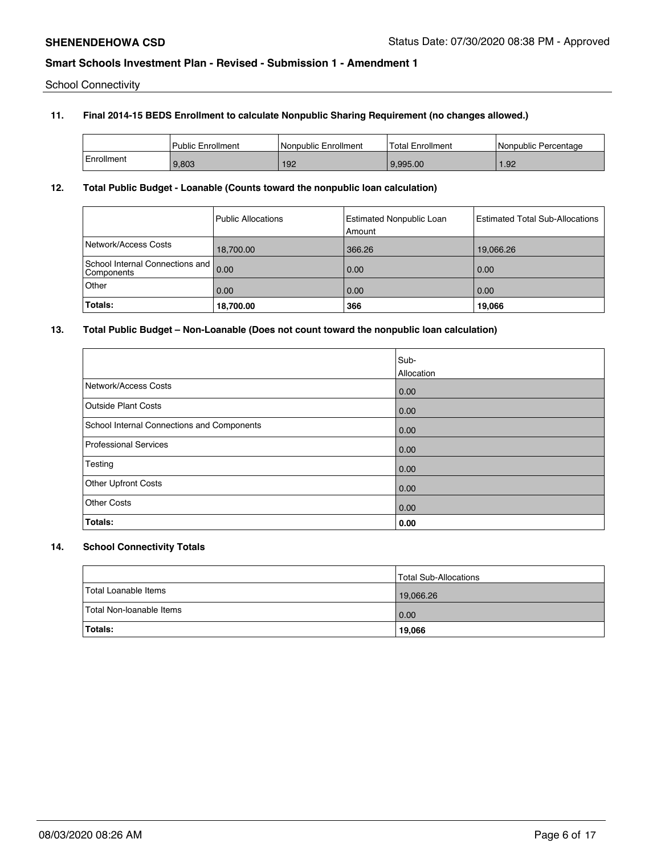School Connectivity

## **11. Final 2014-15 BEDS Enrollment to calculate Nonpublic Sharing Requirement (no changes allowed.)**

|            | Public Enrollment | I Nonpublic Enrollment | <b>Total Enrollment</b> | l Nonpublic Percentage |
|------------|-------------------|------------------------|-------------------------|------------------------|
| Enrollment | 9.803             | 192                    | 9.995.00                | 1.92                   |

### **12. Total Public Budget - Loanable (Counts toward the nonpublic loan calculation)**

|                                                    | Public Allocations | Estimated Nonpublic Loan<br>Amount | <b>Estimated Total Sub-Allocations</b> |
|----------------------------------------------------|--------------------|------------------------------------|----------------------------------------|
| Network/Access Costs                               | 18,700.00          | 366.26                             | 19,066.26                              |
| School Internal Connections and 0.00<br>Components |                    | 0.00                               | 0.00                                   |
| Other                                              | 0.00               | 0.00                               | 0.00                                   |
| Totals:                                            | 18,700.00          | 366                                | 19,066                                 |

## **13. Total Public Budget – Non-Loanable (Does not count toward the nonpublic loan calculation)**

|                                            | Sub-<br>Allocation |
|--------------------------------------------|--------------------|
| Network/Access Costs                       | 0.00               |
| <b>Outside Plant Costs</b>                 | 0.00               |
| School Internal Connections and Components | 0.00               |
| <b>Professional Services</b>               | 0.00               |
| Testing                                    | 0.00               |
| <b>Other Upfront Costs</b>                 | 0.00               |
| <b>Other Costs</b>                         | 0.00               |
| Totals:                                    | 0.00               |

# **14. School Connectivity Totals**

|                          | Total Sub-Allocations |
|--------------------------|-----------------------|
| Total Loanable Items     | 19,066.26             |
| Total Non-loanable Items | 0.00                  |
| <b>Totals:</b>           | 19,066                |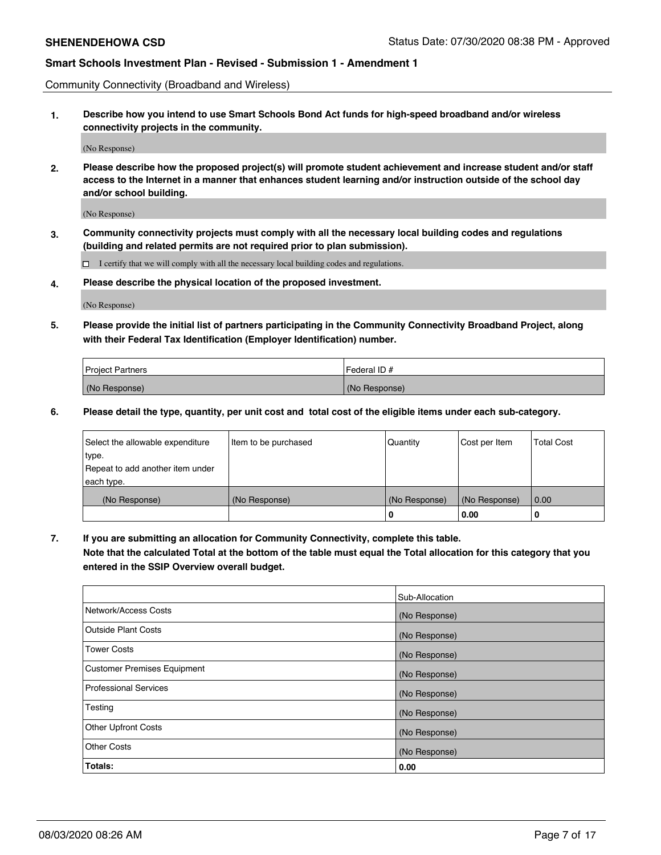Community Connectivity (Broadband and Wireless)

**1. Describe how you intend to use Smart Schools Bond Act funds for high-speed broadband and/or wireless connectivity projects in the community.**

(No Response)

**2. Please describe how the proposed project(s) will promote student achievement and increase student and/or staff access to the Internet in a manner that enhances student learning and/or instruction outside of the school day and/or school building.**

(No Response)

**3. Community connectivity projects must comply with all the necessary local building codes and regulations (building and related permits are not required prior to plan submission).**

 $\Box$  I certify that we will comply with all the necessary local building codes and regulations.

**4. Please describe the physical location of the proposed investment.**

(No Response)

**5. Please provide the initial list of partners participating in the Community Connectivity Broadband Project, along with their Federal Tax Identification (Employer Identification) number.**

| <b>Project Partners</b> | l Federal ID # |
|-------------------------|----------------|
| (No Response)           | (No Response)  |

**6. Please detail the type, quantity, per unit cost and total cost of the eligible items under each sub-category.**

| Select the allowable expenditure | Item to be purchased | Quantity      | Cost per Item | <b>Total Cost</b> |
|----------------------------------|----------------------|---------------|---------------|-------------------|
| type.                            |                      |               |               |                   |
| Repeat to add another item under |                      |               |               |                   |
| each type.                       |                      |               |               |                   |
| (No Response)                    | (No Response)        | (No Response) | (No Response) | 0.00              |
|                                  |                      | o             | 0.00          | 0                 |

**7. If you are submitting an allocation for Community Connectivity, complete this table.**

**Note that the calculated Total at the bottom of the table must equal the Total allocation for this category that you entered in the SSIP Overview overall budget.**

|                                    | Sub-Allocation |
|------------------------------------|----------------|
| Network/Access Costs               | (No Response)  |
| Outside Plant Costs                | (No Response)  |
| <b>Tower Costs</b>                 | (No Response)  |
| <b>Customer Premises Equipment</b> | (No Response)  |
| <b>Professional Services</b>       | (No Response)  |
| Testing                            | (No Response)  |
| <b>Other Upfront Costs</b>         | (No Response)  |
| <b>Other Costs</b>                 | (No Response)  |
| Totals:                            | 0.00           |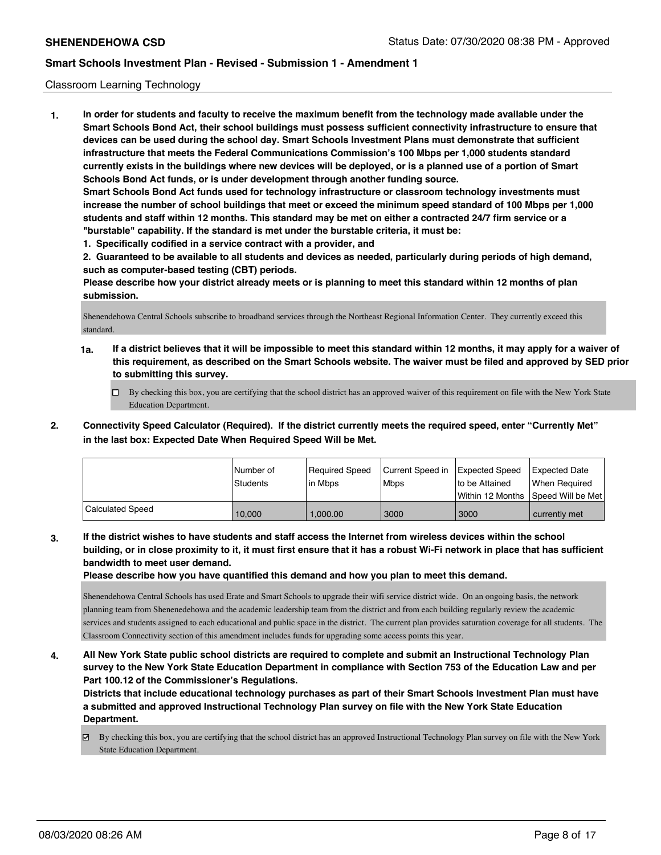## Classroom Learning Technology

**1. In order for students and faculty to receive the maximum benefit from the technology made available under the Smart Schools Bond Act, their school buildings must possess sufficient connectivity infrastructure to ensure that devices can be used during the school day. Smart Schools Investment Plans must demonstrate that sufficient infrastructure that meets the Federal Communications Commission's 100 Mbps per 1,000 students standard currently exists in the buildings where new devices will be deployed, or is a planned use of a portion of Smart Schools Bond Act funds, or is under development through another funding source. Smart Schools Bond Act funds used for technology infrastructure or classroom technology investments must increase the number of school buildings that meet or exceed the minimum speed standard of 100 Mbps per 1,000 students and staff within 12 months. This standard may be met on either a contracted 24/7 firm service or a "burstable" capability. If the standard is met under the burstable criteria, it must be:**

**1. Specifically codified in a service contract with a provider, and**

**2. Guaranteed to be available to all students and devices as needed, particularly during periods of high demand, such as computer-based testing (CBT) periods.**

**Please describe how your district already meets or is planning to meet this standard within 12 months of plan submission.**

Shenendehowa Central Schools subscribe to broadband services through the Northeast Regional Information Center. They currently exceed this standard.

- **1a. If a district believes that it will be impossible to meet this standard within 12 months, it may apply for a waiver of this requirement, as described on the Smart Schools website. The waiver must be filed and approved by SED prior to submitting this survey.**
	- By checking this box, you are certifying that the school district has an approved waiver of this requirement on file with the New York State Education Department.
- **2. Connectivity Speed Calculator (Required). If the district currently meets the required speed, enter "Currently Met" in the last box: Expected Date When Required Speed Will be Met.**

|                  | l Number of<br>Students | Required Speed<br>l in Mbps | Current Speed in<br>l Mbps | <b>Expected Speed</b><br>Ito be Attained<br>l Within 12 Months | <b>Expected Date</b><br>When Required<br>Speed Will be Met |
|------------------|-------------------------|-----------------------------|----------------------------|----------------------------------------------------------------|------------------------------------------------------------|
| Calculated Speed | 10.000                  | 1.000.00                    | 3000                       | 3000                                                           | currently met                                              |

**3. If the district wishes to have students and staff access the Internet from wireless devices within the school building, or in close proximity to it, it must first ensure that it has a robust Wi-Fi network in place that has sufficient bandwidth to meet user demand.**

**Please describe how you have quantified this demand and how you plan to meet this demand.**

Shenendehowa Central Schools has used Erate and Smart Schools to upgrade their wifi service district wide. On an ongoing basis, the network planning team from Shenenedehowa and the academic leadership team from the district and from each building regularly review the academic services and students assigned to each educational and public space in the district. The current plan provides saturation coverage for all students. The Classroom Connectivity section of this amendment includes funds for upgrading some access points this year.

**4. All New York State public school districts are required to complete and submit an Instructional Technology Plan survey to the New York State Education Department in compliance with Section 753 of the Education Law and per Part 100.12 of the Commissioner's Regulations.**

**Districts that include educational technology purchases as part of their Smart Schools Investment Plan must have a submitted and approved Instructional Technology Plan survey on file with the New York State Education Department.**

By checking this box, you are certifying that the school district has an approved Instructional Technology Plan survey on file with the New York State Education Department.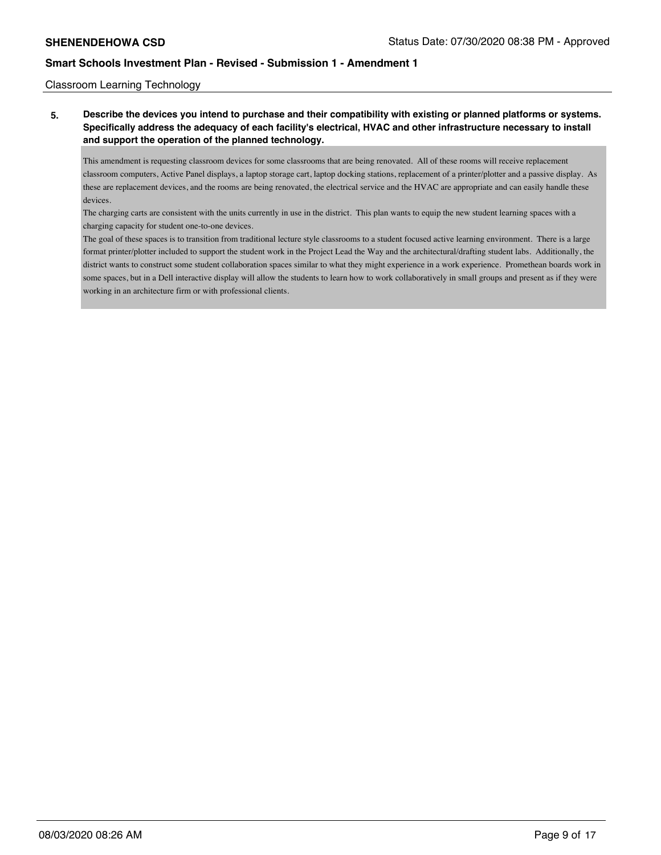Classroom Learning Technology

**5. Describe the devices you intend to purchase and their compatibility with existing or planned platforms or systems. Specifically address the adequacy of each facility's electrical, HVAC and other infrastructure necessary to install and support the operation of the planned technology.**

This amendment is requesting classroom devices for some classrooms that are being renovated. All of these rooms will receive replacement classroom computers, Active Panel displays, a laptop storage cart, laptop docking stations, replacement of a printer/plotter and a passive display. As these are replacement devices, and the rooms are being renovated, the electrical service and the HVAC are appropriate and can easily handle these devices.

The charging carts are consistent with the units currently in use in the district. This plan wants to equip the new student learning spaces with a charging capacity for student one-to-one devices.

The goal of these spaces is to transition from traditional lecture style classrooms to a student focused active learning environment. There is a large format printer/plotter included to support the student work in the Project Lead the Way and the architectural/drafting student labs. Additionally, the district wants to construct some student collaboration spaces similar to what they might experience in a work experience. Promethean boards work in some spaces, but in a Dell interactive display will allow the students to learn how to work collaboratively in small groups and present as if they were working in an architecture firm or with professional clients.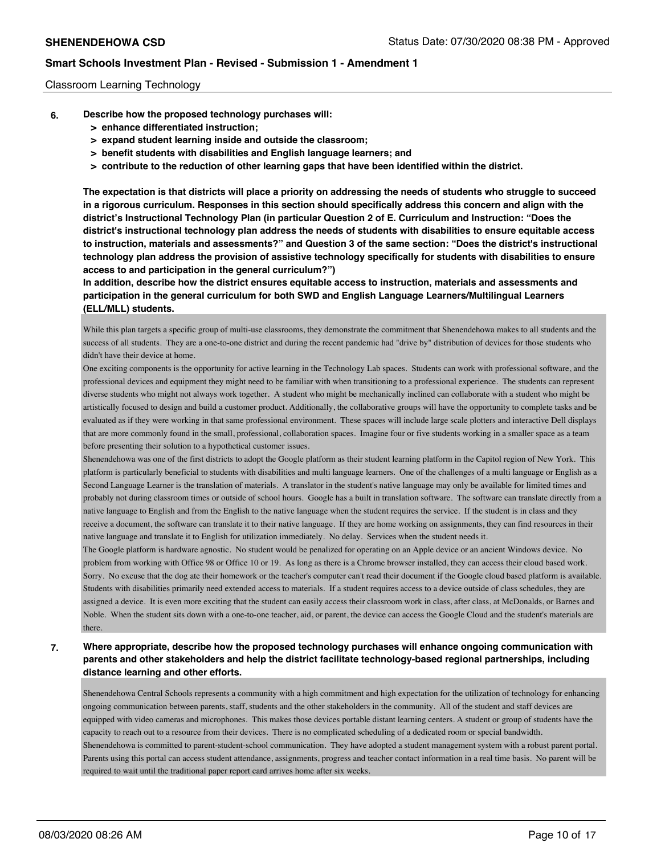## Classroom Learning Technology

- **6. Describe how the proposed technology purchases will:**
	- **> enhance differentiated instruction;**
	- **> expand student learning inside and outside the classroom;**
	- **> benefit students with disabilities and English language learners; and**
	- **> contribute to the reduction of other learning gaps that have been identified within the district.**

**The expectation is that districts will place a priority on addressing the needs of students who struggle to succeed in a rigorous curriculum. Responses in this section should specifically address this concern and align with the district's Instructional Technology Plan (in particular Question 2 of E. Curriculum and Instruction: "Does the district's instructional technology plan address the needs of students with disabilities to ensure equitable access to instruction, materials and assessments?" and Question 3 of the same section: "Does the district's instructional technology plan address the provision of assistive technology specifically for students with disabilities to ensure access to and participation in the general curriculum?")**

**In addition, describe how the district ensures equitable access to instruction, materials and assessments and participation in the general curriculum for both SWD and English Language Learners/Multilingual Learners (ELL/MLL) students.**

While this plan targets a specific group of multi-use classrooms, they demonstrate the commitment that Shenendehowa makes to all students and the success of all students. They are a one-to-one district and during the recent pandemic had "drive by" distribution of devices for those students who didn't have their device at home.

One exciting components is the opportunity for active learning in the Technology Lab spaces. Students can work with professional software, and the professional devices and equipment they might need to be familiar with when transitioning to a professional experience. The students can represent diverse students who might not always work together. A student who might be mechanically inclined can collaborate with a student who might be artistically focused to design and build a customer product. Additionally, the collaborative groups will have the opportunity to complete tasks and be evaluated as if they were working in that same professional environment. These spaces will include large scale plotters and interactive Dell displays that are more commonly found in the small, professional, collaboration spaces. Imagine four or five students working in a smaller space as a team before presenting their solution to a hypothetical customer issues.

Shenendehowa was one of the first districts to adopt the Google platform as their student learning platform in the Capitol region of New York. This platform is particularly beneficial to students with disabilities and multi language learners. One of the challenges of a multi language or English as a Second Language Learner is the translation of materials. A translator in the student's native language may only be available for limited times and probably not during classroom times or outside of school hours. Google has a built in translation software. The software can translate directly from a native language to English and from the English to the native language when the student requires the service. If the student is in class and they receive a document, the software can translate it to their native language. If they are home working on assignments, they can find resources in their native language and translate it to English for utilization immediately. No delay. Services when the student needs it.

The Google platform is hardware agnostic. No student would be penalized for operating on an Apple device or an ancient Windows device. No problem from working with Office 98 or Office 10 or 19. As long as there is a Chrome browser installed, they can access their cloud based work. Sorry. No excuse that the dog ate their homework or the teacher's computer can't read their document if the Google cloud based platform is available. Students with disabilities primarily need extended access to materials. If a student requires access to a device outside of class schedules, they are assigned a device. It is even more exciting that the student can easily access their classroom work in class, after class, at McDonalds, or Barnes and Noble. When the student sits down with a one-to-one teacher, aid, or parent, the device can access the Google Cloud and the student's materials are there.

# **7. Where appropriate, describe how the proposed technology purchases will enhance ongoing communication with parents and other stakeholders and help the district facilitate technology-based regional partnerships, including distance learning and other efforts.**

Shenendehowa Central Schools represents a community with a high commitment and high expectation for the utilization of technology for enhancing ongoing communication between parents, staff, students and the other stakeholders in the community. All of the student and staff devices are equipped with video cameras and microphones. This makes those devices portable distant learning centers. A student or group of students have the capacity to reach out to a resource from their devices. There is no complicated scheduling of a dedicated room or special bandwidth. Shenendehowa is committed to parent-student-school communication. They have adopted a student management system with a robust parent portal. Parents using this portal can access student attendance, assignments, progress and teacher contact information in a real time basis. No parent will be required to wait until the traditional paper report card arrives home after six weeks.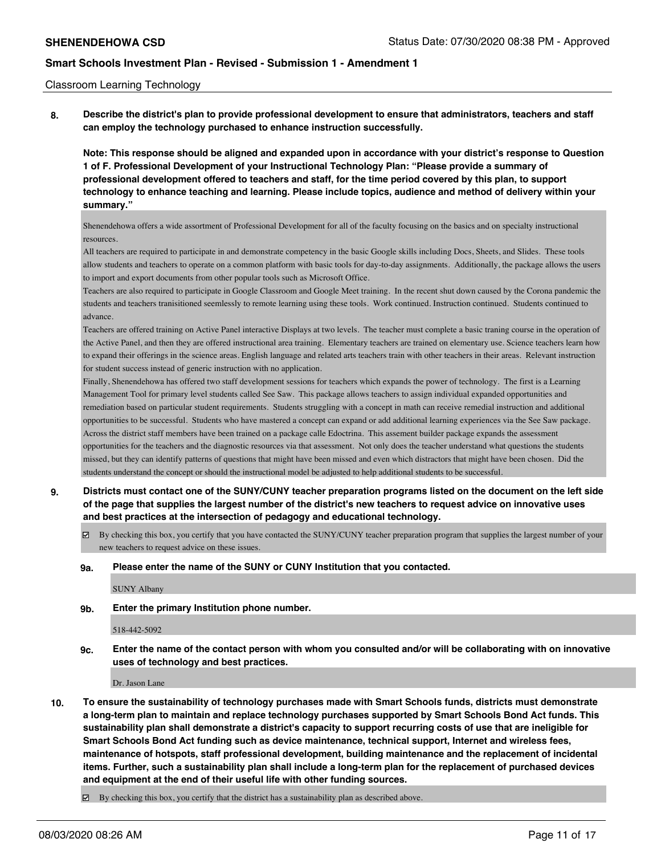### Classroom Learning Technology

**8. Describe the district's plan to provide professional development to ensure that administrators, teachers and staff can employ the technology purchased to enhance instruction successfully.**

**Note: This response should be aligned and expanded upon in accordance with your district's response to Question 1 of F. Professional Development of your Instructional Technology Plan: "Please provide a summary of professional development offered to teachers and staff, for the time period covered by this plan, to support technology to enhance teaching and learning. Please include topics, audience and method of delivery within your summary."**

Shenendehowa offers a wide assortment of Professional Development for all of the faculty focusing on the basics and on specialty instructional resources.

All teachers are required to participate in and demonstrate competency in the basic Google skills including Docs, Sheets, and Slides. These tools allow students and teachers to operate on a common platform with basic tools for day-to-day assignments. Additionally, the package allows the users to import and export documents from other popular tools such as Microsoft Office.

Teachers are also required to participate in Google Classroom and Google Meet training. In the recent shut down caused by the Corona pandemic the students and teachers tranisitioned seemlessly to remote learning using these tools. Work continued. Instruction continued. Students continued to advance.

Teachers are offered training on Active Panel interactive Displays at two levels. The teacher must complete a basic traning course in the operation of the Active Panel, and then they are offered instructional area training. Elementary teachers are trained on elementary use. Science teachers learn how to expand their offerings in the science areas. English language and related arts teachers train with other teachers in their areas. Relevant instruction for student success instead of generic instruction with no application.

Finally, Shenendehowa has offered two staff development sessions for teachers which expands the power of technology. The first is a Learning Management Tool for primary level students called See Saw. This package allows teachers to assign individual expanded opportunities and remediation based on particular student requirements. Students struggling with a concept in math can receive remedial instruction and additional opportunities to be successful. Students who have mastered a concept can expand or add additional learning experiences via the See Saw package. Across the district staff members have been trained on a package calle Edoctrina. This assement builder package expands the assessment opportunities for the teachers and the diagnostic resources via that assessment. Not only does the teacher understand what questions the students missed, but they can identify patterns of questions that might have been missed and even which distractors that might have been chosen. Did the students understand the concept or should the instructional model be adjusted to help additional students to be successful.

- **9. Districts must contact one of the SUNY/CUNY teacher preparation programs listed on the document on the left side of the page that supplies the largest number of the district's new teachers to request advice on innovative uses and best practices at the intersection of pedagogy and educational technology.**
	- By checking this box, you certify that you have contacted the SUNY/CUNY teacher preparation program that supplies the largest number of your new teachers to request advice on these issues.

#### **9a. Please enter the name of the SUNY or CUNY Institution that you contacted.**

SUNY Albany

**9b. Enter the primary Institution phone number.**

#### 518-442-5092

**9c. Enter the name of the contact person with whom you consulted and/or will be collaborating with on innovative uses of technology and best practices.**

Dr. Jason Lane

- **10. To ensure the sustainability of technology purchases made with Smart Schools funds, districts must demonstrate a long-term plan to maintain and replace technology purchases supported by Smart Schools Bond Act funds. This sustainability plan shall demonstrate a district's capacity to support recurring costs of use that are ineligible for Smart Schools Bond Act funding such as device maintenance, technical support, Internet and wireless fees, maintenance of hotspots, staff professional development, building maintenance and the replacement of incidental items. Further, such a sustainability plan shall include a long-term plan for the replacement of purchased devices and equipment at the end of their useful life with other funding sources.**
	- $\boxtimes$  By checking this box, you certify that the district has a sustainability plan as described above.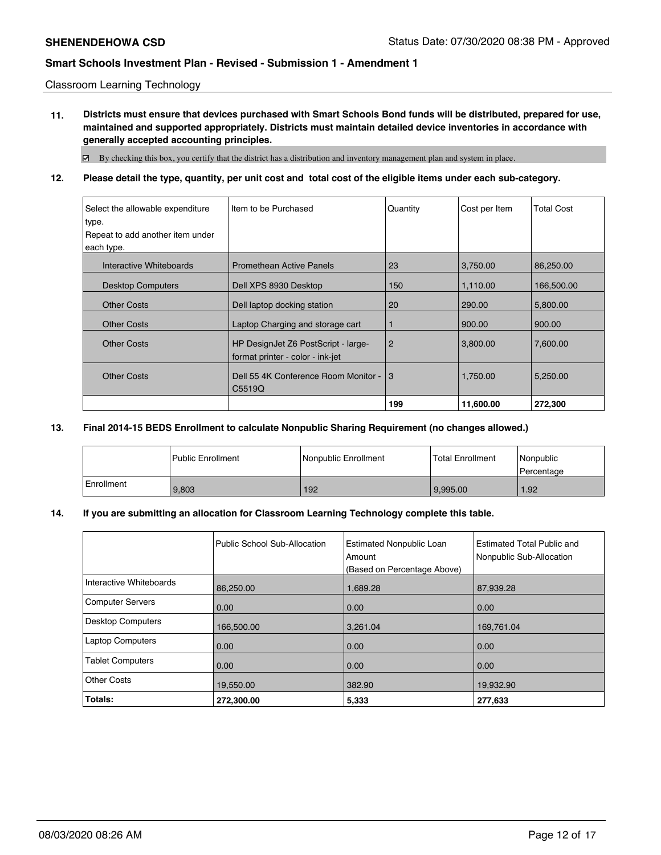Classroom Learning Technology

**11. Districts must ensure that devices purchased with Smart Schools Bond funds will be distributed, prepared for use, maintained and supported appropriately. Districts must maintain detailed device inventories in accordance with generally accepted accounting principles.**

By checking this box, you certify that the district has a distribution and inventory management plan and system in place.

## **12. Please detail the type, quantity, per unit cost and total cost of the eligible items under each sub-category.**

| Select the allowable expenditure | I Item to be Purchased                                                  | Quantity       | Cost per Item | <b>Total Cost</b> |
|----------------------------------|-------------------------------------------------------------------------|----------------|---------------|-------------------|
| type.                            |                                                                         |                |               |                   |
| Repeat to add another item under |                                                                         |                |               |                   |
| each type.                       |                                                                         |                |               |                   |
| Interactive Whiteboards          | <b>Promethean Active Panels</b>                                         | 23             | 3,750.00      | 86,250.00         |
| <b>Desktop Computers</b>         | Dell XPS 8930 Desktop                                                   | 150            | 1,110.00      | 166,500.00        |
| <b>Other Costs</b>               | Dell laptop docking station                                             | 20             | 290.00        | 5,800.00          |
| <b>Other Costs</b>               | Laptop Charging and storage cart                                        |                | 900.00        | 900.00            |
| <b>Other Costs</b>               | HP DesignJet Z6 PostScript - large-<br>format printer - color - ink-jet | $\overline{2}$ | 3,800.00      | 7,600.00          |
|                                  |                                                                         |                |               |                   |
| <b>Other Costs</b>               | Dell 55 4K Conference Room Monitor -                                    | 3              | 1,750.00      | 5,250.00          |
|                                  | C5519Q                                                                  |                |               |                   |
|                                  |                                                                         | 199            | 11,600.00     | 272,300           |

## **13. Final 2014-15 BEDS Enrollment to calculate Nonpublic Sharing Requirement (no changes allowed.)**

|            | <b>Public Enrollment</b> | Nonpublic Enrollment | <b>Total Enrollment</b> | Nonpublic<br>Percentage |
|------------|--------------------------|----------------------|-------------------------|-------------------------|
| Enrollment | 9.803                    | 192                  | 9.995.00                | 1.92                    |

## **14. If you are submitting an allocation for Classroom Learning Technology complete this table.**

|                         | Public School Sub-Allocation | <b>Estimated Nonpublic Loan</b><br>Amount<br>(Based on Percentage Above) | Estimated Total Public and<br>Nonpublic Sub-Allocation |
|-------------------------|------------------------------|--------------------------------------------------------------------------|--------------------------------------------------------|
| Interactive Whiteboards | 86,250.00                    | 1,689.28                                                                 | 87,939.28                                              |
| Computer Servers        | 0.00                         | 0.00                                                                     | 0.00                                                   |
| Desktop Computers       | 166,500.00                   | 3,261.04                                                                 | 169,761.04                                             |
| Laptop Computers        | 0.00                         | 0.00                                                                     | 0.00                                                   |
| <b>Tablet Computers</b> | 0.00                         | 0.00                                                                     | 0.00                                                   |
| Other Costs             | 19,550.00                    | 382.90                                                                   | 19,932.90                                              |
| Totals:                 | 272,300.00                   | 5,333                                                                    | 277,633                                                |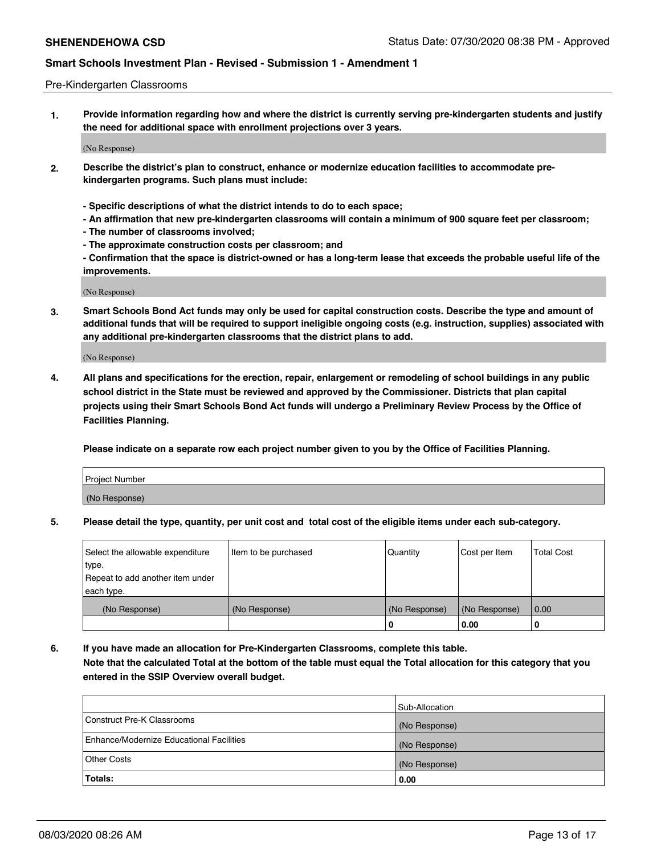### Pre-Kindergarten Classrooms

**1. Provide information regarding how and where the district is currently serving pre-kindergarten students and justify the need for additional space with enrollment projections over 3 years.**

(No Response)

- **2. Describe the district's plan to construct, enhance or modernize education facilities to accommodate prekindergarten programs. Such plans must include:**
	- **Specific descriptions of what the district intends to do to each space;**
	- **An affirmation that new pre-kindergarten classrooms will contain a minimum of 900 square feet per classroom;**
	- **The number of classrooms involved;**
	- **The approximate construction costs per classroom; and**
	- **Confirmation that the space is district-owned or has a long-term lease that exceeds the probable useful life of the improvements.**

(No Response)

**3. Smart Schools Bond Act funds may only be used for capital construction costs. Describe the type and amount of additional funds that will be required to support ineligible ongoing costs (e.g. instruction, supplies) associated with any additional pre-kindergarten classrooms that the district plans to add.**

(No Response)

**4. All plans and specifications for the erection, repair, enlargement or remodeling of school buildings in any public school district in the State must be reviewed and approved by the Commissioner. Districts that plan capital projects using their Smart Schools Bond Act funds will undergo a Preliminary Review Process by the Office of Facilities Planning.**

**Please indicate on a separate row each project number given to you by the Office of Facilities Planning.**

| Project Number |  |
|----------------|--|
| (No Response)  |  |
|                |  |

**5. Please detail the type, quantity, per unit cost and total cost of the eligible items under each sub-category.**

| Select the allowable expenditure | Item to be purchased | Quantity      | Cost per Item | <b>Total Cost</b> |
|----------------------------------|----------------------|---------------|---------------|-------------------|
| type.                            |                      |               |               |                   |
| Repeat to add another item under |                      |               |               |                   |
| each type.                       |                      |               |               |                   |
| (No Response)                    | (No Response)        | (No Response) | (No Response) | 0.00              |
|                                  |                      | υ             | 0.00          |                   |

**6. If you have made an allocation for Pre-Kindergarten Classrooms, complete this table. Note that the calculated Total at the bottom of the table must equal the Total allocation for this category that you entered in the SSIP Overview overall budget.**

|                                          | Sub-Allocation |
|------------------------------------------|----------------|
| Construct Pre-K Classrooms               | (No Response)  |
| Enhance/Modernize Educational Facilities | (No Response)  |
| <b>Other Costs</b>                       | (No Response)  |
| Totals:                                  | 0.00           |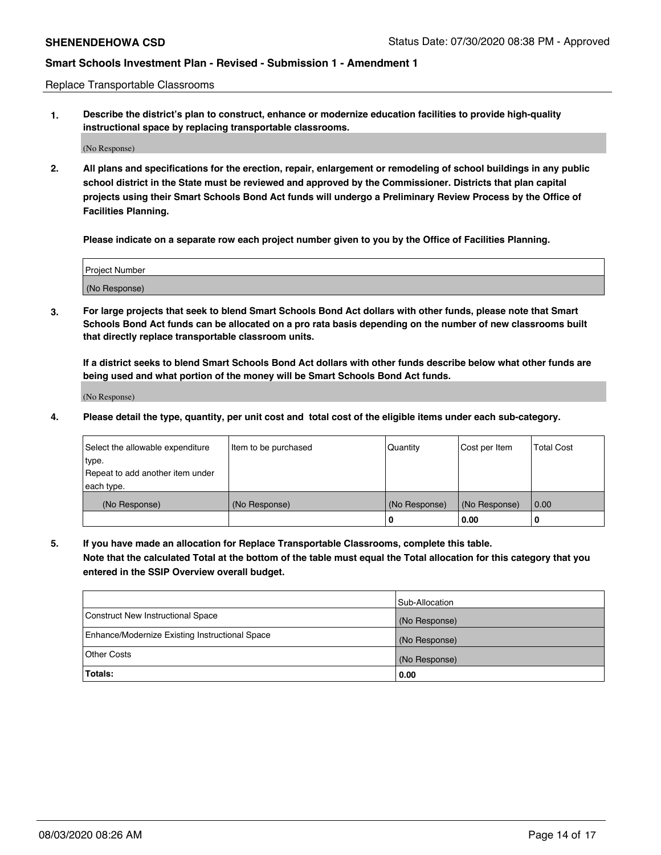Replace Transportable Classrooms

**1. Describe the district's plan to construct, enhance or modernize education facilities to provide high-quality instructional space by replacing transportable classrooms.**

(No Response)

**2. All plans and specifications for the erection, repair, enlargement or remodeling of school buildings in any public school district in the State must be reviewed and approved by the Commissioner. Districts that plan capital projects using their Smart Schools Bond Act funds will undergo a Preliminary Review Process by the Office of Facilities Planning.**

**Please indicate on a separate row each project number given to you by the Office of Facilities Planning.**

| Project Number |  |
|----------------|--|
|                |  |
|                |  |
| (No Response)  |  |
|                |  |

**3. For large projects that seek to blend Smart Schools Bond Act dollars with other funds, please note that Smart Schools Bond Act funds can be allocated on a pro rata basis depending on the number of new classrooms built that directly replace transportable classroom units.**

**If a district seeks to blend Smart Schools Bond Act dollars with other funds describe below what other funds are being used and what portion of the money will be Smart Schools Bond Act funds.**

(No Response)

**4. Please detail the type, quantity, per unit cost and total cost of the eligible items under each sub-category.**

| Select the allowable expenditure<br>∣type. | Item to be purchased | Quantity      | Cost per Item | Total Cost |
|--------------------------------------------|----------------------|---------------|---------------|------------|
| Repeat to add another item under           |                      |               |               |            |
| each type.<br>(No Response)                | (No Response)        | (No Response) | (No Response) | 0.00       |
|                                            |                      | u             | 0.00          | -0         |

**5. If you have made an allocation for Replace Transportable Classrooms, complete this table. Note that the calculated Total at the bottom of the table must equal the Total allocation for this category that you entered in the SSIP Overview overall budget.**

|                                                | Sub-Allocation |
|------------------------------------------------|----------------|
| Construct New Instructional Space              | (No Response)  |
| Enhance/Modernize Existing Instructional Space | (No Response)  |
| Other Costs                                    | (No Response)  |
| Totals:                                        | 0.00           |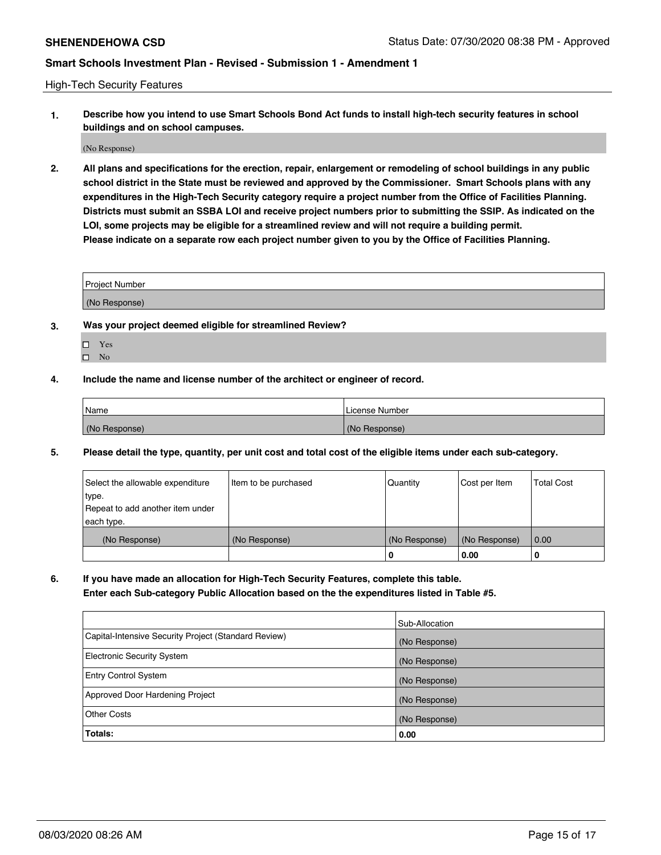High-Tech Security Features

**1. Describe how you intend to use Smart Schools Bond Act funds to install high-tech security features in school buildings and on school campuses.**

(No Response)

**2. All plans and specifications for the erection, repair, enlargement or remodeling of school buildings in any public school district in the State must be reviewed and approved by the Commissioner. Smart Schools plans with any expenditures in the High-Tech Security category require a project number from the Office of Facilities Planning. Districts must submit an SSBA LOI and receive project numbers prior to submitting the SSIP. As indicated on the LOI, some projects may be eligible for a streamlined review and will not require a building permit. Please indicate on a separate row each project number given to you by the Office of Facilities Planning.**

| <b>Project Number</b> |  |  |
|-----------------------|--|--|
| (No Response)         |  |  |

- **3. Was your project deemed eligible for streamlined Review?**
	- Yes
	- $\hfill \square$  <br> No
- **4. Include the name and license number of the architect or engineer of record.**

| Name          | ∣License Number |
|---------------|-----------------|
| (No Response) | (No Response)   |

**5. Please detail the type, quantity, per unit cost and total cost of the eligible items under each sub-category.**

| Select the allowable expenditure<br>∣type. | Item to be purchased | Quantity      | Cost per Item | <b>Total Cost</b> |
|--------------------------------------------|----------------------|---------------|---------------|-------------------|
| Repeat to add another item under           |                      |               |               |                   |
| each type.                                 |                      |               |               |                   |
| (No Response)                              | (No Response)        | (No Response) | (No Response) | 0.00              |
|                                            |                      | 0             | 0.00          | O                 |

**6. If you have made an allocation for High-Tech Security Features, complete this table.**

**Enter each Sub-category Public Allocation based on the the expenditures listed in Table #5.**

|                                                      | Sub-Allocation |
|------------------------------------------------------|----------------|
| Capital-Intensive Security Project (Standard Review) | (No Response)  |
| Electronic Security System                           | (No Response)  |
| <b>Entry Control System</b>                          | (No Response)  |
| Approved Door Hardening Project                      | (No Response)  |
| Other Costs                                          | (No Response)  |
| Totals:                                              | 0.00           |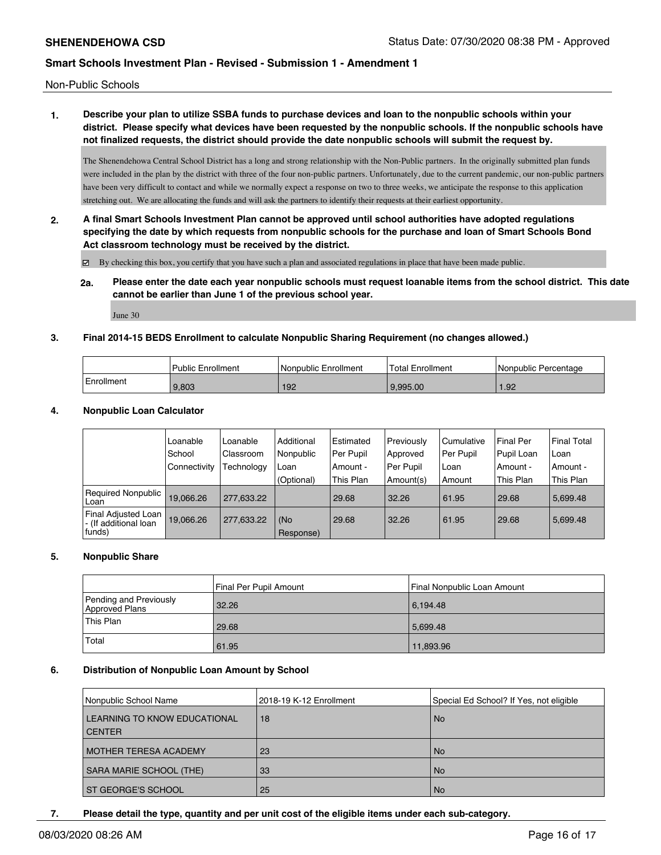Non-Public Schools

# **1. Describe your plan to utilize SSBA funds to purchase devices and loan to the nonpublic schools within your district. Please specify what devices have been requested by the nonpublic schools. If the nonpublic schools have not finalized requests, the district should provide the date nonpublic schools will submit the request by.**

The Shenendehowa Central School District has a long and strong relationship with the Non-Public partners. In the originally submitted plan funds were included in the plan by the district with three of the four non-public partners. Unfortunately, due to the current pandemic, our non-public partners have been very difficult to contact and while we normally expect a response on two to three weeks, we anticipate the response to this application stretching out. We are allocating the funds and will ask the partners to identify their requests at their earliest opportunity.

**2. A final Smart Schools Investment Plan cannot be approved until school authorities have adopted regulations specifying the date by which requests from nonpublic schools for the purchase and loan of Smart Schools Bond Act classroom technology must be received by the district.**

By checking this box, you certify that you have such a plan and associated regulations in place that have been made public.

**2a. Please enter the date each year nonpublic schools must request loanable items from the school district. This date cannot be earlier than June 1 of the previous school year.**

June 30

## **3. Final 2014-15 BEDS Enrollment to calculate Nonpublic Sharing Requirement (no changes allowed.)**

|            | <b>Public Enrollment</b> | Nonpublic Enrollment | <b>Total Enrollment</b> | Nonpublic Percentage |
|------------|--------------------------|----------------------|-------------------------|----------------------|
| Enrollment | 9.803                    | 192                  | 9.995.00                | 1.92                 |

## **4. Nonpublic Loan Calculator**

|                                                                  | Loanable       | Loanable   | Additional       | l Estimated | Previously  | Cumulative | <b>Final Per</b> | <b>Final Total</b> |
|------------------------------------------------------------------|----------------|------------|------------------|-------------|-------------|------------|------------------|--------------------|
|                                                                  | School         | Classroom  | Nonpublic        | Per Pupil   | Approved    | Per Pupil  | Pupil Loan       | Loan               |
|                                                                  | l Connectivitv | Technology | Loan             | Amount -    | l Per Pupil | Loan       | Amount -         | Amount -           |
|                                                                  |                |            | (Optional)       | This Plan   | Amount(s)   | Amount     | This Plan        | This Plan          |
| Required Nonpublic<br>l Loan                                     | 19.066.26      | 277.633.22 |                  | 29.68       | 32.26       | 61.95      | 29.68            | 5.699.48           |
| <b>Final Adjusted Loan</b><br> - (If additional loan<br>  funds) | 19.066.26      | 277.633.22 | (No<br>Response) | 29.68       | 32.26       | 61.95      | 29.68            | 5.699.48           |

#### **5. Nonpublic Share**

|                                          | Final Per Pupil Amount | Final Nonpublic Loan Amount |
|------------------------------------------|------------------------|-----------------------------|
| Pending and Previously<br>Approved Plans | 32.26                  | 6,194.48                    |
| This Plan                                | 29.68                  | 5.699.48                    |
| Total                                    | 61.95                  | 11,893.96                   |

#### **6. Distribution of Nonpublic Loan Amount by School**

| Nonpublic School Name                         | 2018-19 K-12 Enrollment | Special Ed School? If Yes, not eligible |
|-----------------------------------------------|-------------------------|-----------------------------------------|
| LEARNING TO KNOW EDUCATIONAL<br><b>CENTER</b> | 18                      | l No                                    |
| <b>MOTHER TERESA ACADEMY</b>                  | 23                      | l No                                    |
| SARA MARIE SCHOOL (THE)                       | 33                      | l No                                    |
| <b>ST GEORGE'S SCHOOL</b>                     | 25                      | l No                                    |

**7. Please detail the type, quantity and per unit cost of the eligible items under each sub-category.**